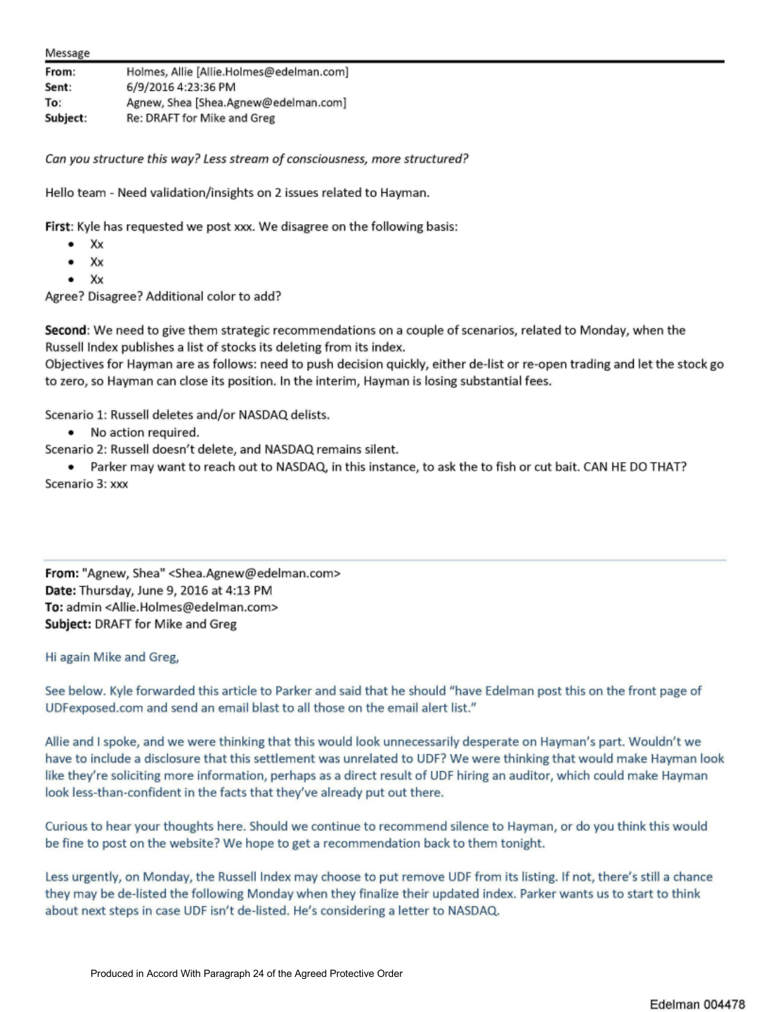From: Sent: To: **Subject:**  Holmes, Allie [Allie.Holmes@edelman.com] 6/9/2016 4:23:36 PM Agnew, Shea [Shea.Agnew@edelman.com] Re: DRAFT for Mike and Greg

Can you structure this way? Less stream of consciousness, more structured?

Hello team - Need validation/insights on 2 issues related to Hayman.

First: Kyle has requested we post xxx. We disagree on the following basis:

- xx
- xx
- Xx

Agree? Disagree? Additional color to add?

**Second:** We need to give them strategic recommendations on a couple of scenarios, related to Monday, when the Russell Index publishes a list of stocks its deleting from its index.

Objectives for Hayman are as follows: need to push decision quickly, either de-list or re-open trading and let the stock go to zero, so Hayman can close its position. In the interim, Hayman is losing substantial fees.

Scenario 1: Russell deletes and/or NASDAQ delists.

• No action required.

Scenario 2: Russell doesn't delete, and NASDAQ remains silent.

• Parker may want to reach out to NASDAQ, in this instance, to ask the to fish or cut bait. CAN HE DO THAT? Scenario 3: xxx

From: "Agnew, Shea" <Shea.Agnew@edelman.com:> Date: Thursday, June 9, 2016 at 4:13 PM To: admin <Allie. Holmes@edelman.com> **Subject: DRAFT for Mike and Greg** 

## Hi again Mike and Greg,

See below. Kyle forwarded this article to Parker and said that he should "have Edelman post this on the front page of UDFexposed.com and send an email blast to all those on the email alert list."

Allie and I spoke, and we were thinking that this would look unnecessarily desperate on Hayman's part. Wouldn't we have to include a disclosure that this settlement was unrelated to UDF? We were thinking that would make Hayman look like they're soliciting more information, perhaps as a direct result of UDF hiring an auditor, which could make Hayman look less-than-confident in the facts that they've already put out there.

Curious to hear your thoughts here. Should we continue to recommend silence to Hayman, or do you think this would be fine to post on the website? We hope to get a recommendation back to them tonight.

Less urgently, on Monday, the Russell Index may choose to put remove UDF from its listing. If not, there's strll a chance they may be de-listed the following Monday when they finalize their updated index. Parker wants us to start to think about next steps in case UDF isn't de-listed. He's considering a letter to NASDAQ.